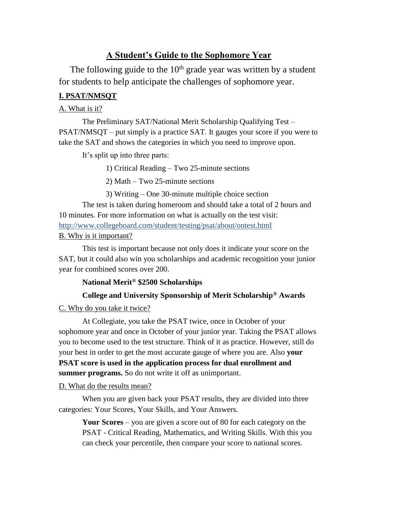# **A Student's Guide to the Sophomore Year**

The following guide to the  $10<sup>th</sup>$  grade year was written by a student for students to help anticipate the challenges of sophomore year.

# **I. PSAT/NMSQT**

### A. What is it?

The Preliminary SAT/National Merit Scholarship Qualifying Test – PSAT/NMSQT – put simply is a practice SAT. It gauges your score if you were to take the SAT and shows the categories in which you need to improve upon.

It's split up into three parts:

1) Critical Reading – Two 25-minute sections

2) Math – Two 25-minute sections

3) Writing – One 30-minute multiple choice section

The test is taken during homeroom and should take a total of 2 hours and 10 minutes. For more information on what is actually on the test visit: <http://www.collegeboard.com/student/testing/psat/about/ontest.html>

B. Why is it important?

This test is important because not only does it indicate your score on the SAT, but it could also win you scholarships and academic recognition your junior year for combined scores over 200.

## **National Merit® \$2500 Scholarships**

# **College and University Sponsorship of Merit Scholarship® Awards**

C. Why do you take it twice?

At Collegiate, you take the PSAT twice, once in October of your sophomore year and once in October of your junior year. Taking the PSAT allows you to become used to the test structure. Think of it as practice. However, still do your best in order to get the most accurate gauge of where you are. Also **your PSAT score is used in the application process for dual enrollment and summer programs.** So do not write it off as unimportant.

#### D. What do the results mean?

When you are given back your PSAT results, they are divided into three categories: Your Scores, Your Skills, and Your Answers.

**Your Scores** – you are given a score out of 80 for each category on the PSAT - Critical Reading, Mathematics, and Writing Skills. With this you can check your percentile, then compare your score to national scores.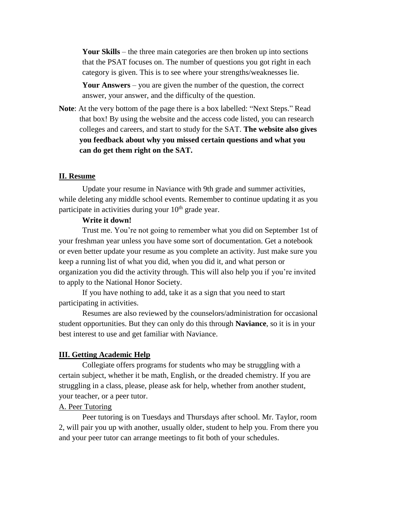**Your Skills** – the three main categories are then broken up into sections that the PSAT focuses on. The number of questions you got right in each category is given. This is to see where your strengths/weaknesses lie.

**Your Answers** – you are given the number of the question, the correct answer, your answer, and the difficulty of the question.

**Note**: At the very bottom of the page there is a box labelled: "Next Steps." Read that box! By using the website and the access code listed, you can research colleges and careers, and start to study for the SAT. **The website also gives you feedback about why you missed certain questions and what you can do get them right on the SAT.** 

#### **II. Resume**

Update your resume in Naviance with 9th grade and summer activities, while deleting any middle school events. Remember to continue updating it as you participate in activities during your  $10<sup>th</sup>$  grade year.

## **Write it down!**

Trust me. You're not going to remember what you did on September 1st of your freshman year unless you have some sort of documentation. Get a notebook or even better update your resume as you complete an activity. Just make sure you keep a running list of what you did, when you did it, and what person or organization you did the activity through. This will also help you if you're invited to apply to the National Honor Society.

If you have nothing to add, take it as a sign that you need to start participating in activities.

Resumes are also reviewed by the counselors/administration for occasional student opportunities. But they can only do this through **Naviance**, so it is in your best interest to use and get familiar with Naviance.

#### **III. Getting Academic Help**

Collegiate offers programs for students who may be struggling with a certain subject, whether it be math, English, or the dreaded chemistry. If you are struggling in a class, please, please ask for help, whether from another student, your teacher, or a peer tutor.

### A. Peer Tutoring

Peer tutoring is on Tuesdays and Thursdays after school. Mr. Taylor, room 2, will pair you up with another, usually older, student to help you. From there you and your peer tutor can arrange meetings to fit both of your schedules.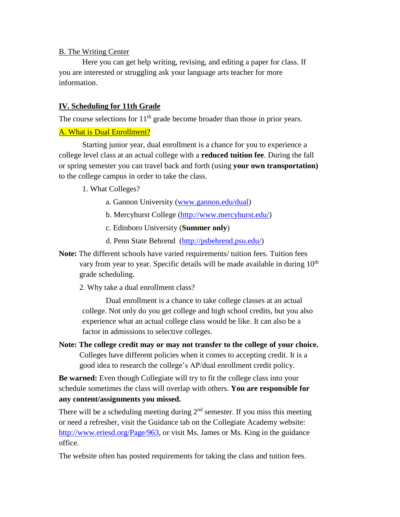# B. The Writing Center

Here you can get help writing, revising, and editing a paper for class. If you are interested or struggling ask your language arts teacher for more information.

# **IV. Scheduling for 11th Grade**

The course selections for  $11<sup>th</sup>$  grade become broader than those in prior years.

# A. What is Dual Enrollment?

Starting junior year, dual enrollment is a chance for you to experience a college level class at an actual college with a **reduced tuition fee**. During the fall or spring semester you can travel back and forth (using **your own transportation)**  to the college campus in order to take the class.

1. What Colleges?

- a. Gannon University [\(www.gannon.edu/dual\)](http://www.gannon.edu/dual)
- b. Mercyhurst College [\(http://www.mercyhurst.edu/\)](http://www.mercyhurst.edu/)
- c. Edinboro University (**Summer only**)
- d. Penn State Behrend [\(http://psbehrend.psu.edu/\)](http://psbehrend.psu.edu/)
- **Note:** The different schools have varied requirements/ tuition fees. Tuition fees vary from year to year. Specific details will be made available in during  $10<sup>th</sup>$ grade scheduling.
	- 2. Why take a dual enrollment class?

Dual enrollment is a chance to take college classes at an actual college. Not only do you get college and high school credits, but you also experience what an actual college class would be like. It can also be a factor in admissions to selective colleges.

**Note: The college credit may or may not transfer to the college of your choice.** Colleges have different policies when it comes to accepting credit. It is a good idea to research the college's AP/dual enrollment credit policy.

**Be warned:** Even though Collegiate will try to fit the college class into your schedule sometimes the class will overlap with others. **You are responsible for any content/assignments you missed.**

There will be a scheduling meeting during  $2<sup>nd</sup>$  semester. If you miss this meeting or need a refresher, visit the Guidance tab on the Collegiate Academy website: [http://www.eriesd.org/Page/963,](http://www.eriesd.org/Page/963) or visit Ms. James or Ms. King in the guidance office.

The website often has posted requirements for taking the class and tuition fees.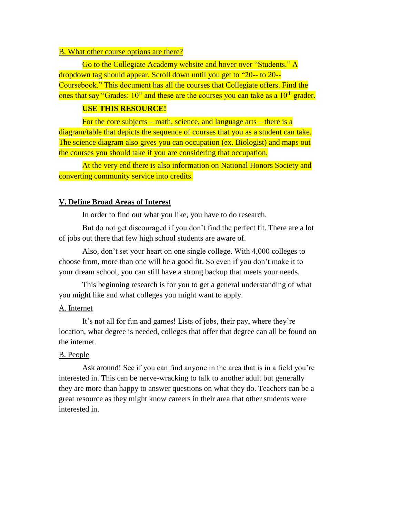#### B. What other course options are there?

Go to the Collegiate Academy website and hover over "Students." A dropdown tag should appear. Scroll down until you get to "20-- to 20-- Coursebook." This document has all the courses that Collegiate offers. Find the ones that say "Grades:  $10$ " and these are the courses you can take as a  $10<sup>th</sup>$  grader.

# **USE THIS RESOURCE!**

For the core subjects – math, science, and language arts – there is a diagram/table that depicts the sequence of courses that you as a student can take. The science diagram also gives you can occupation (ex. Biologist) and maps out the courses you should take if you are considering that occupation.

At the very end there is also information on National Honors Society and converting community service into credits.

#### **V. Define Broad Areas of Interest**

In order to find out what you like, you have to do research.

But do not get discouraged if you don't find the perfect fit. There are a lot of jobs out there that few high school students are aware of.

Also, don't set your heart on one single college. With 4,000 colleges to choose from, more than one will be a good fit. So even if you don't make it to your dream school, you can still have a strong backup that meets your needs.

This beginning research is for you to get a general understanding of what you might like and what colleges you might want to apply.

#### A. Internet

It's not all for fun and games! Lists of jobs, their pay, where they're location, what degree is needed, colleges that offer that degree can all be found on the internet.

#### B. People

Ask around! See if you can find anyone in the area that is in a field you're interested in. This can be nerve-wracking to talk to another adult but generally they are more than happy to answer questions on what they do. Teachers can be a great resource as they might know careers in their area that other students were interested in.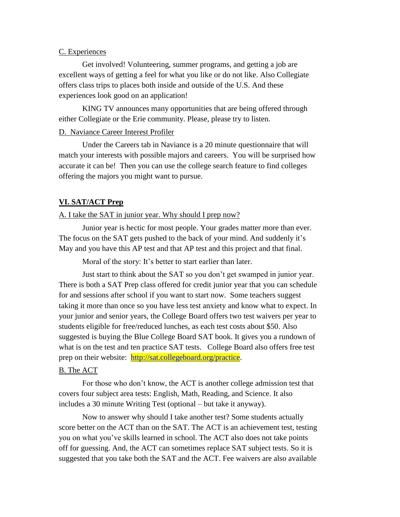#### C. Experiences

Get involved! Volunteering, summer programs, and getting a job are excellent ways of getting a feel for what you like or do not like. Also Collegiate offers class trips to places both inside and outside of the U.S. And these experiences look good on an application!

KING TV announces many opportunities that are being offered through either Collegiate or the Erie community. Please, please try to listen.

## D. Naviance Career Interest Profiler

Under the Careers tab in Naviance is a 20 minute questionnaire that will match your interests with possible majors and careers. You will be surprised how accurate it can be! Then you can use the college search feature to find colleges offering the majors you might want to pursue.

#### **VI. SAT/ACT Prep**

# A. I take the SAT in junior year. Why should I prep now?

Junior year is hectic for most people. Your grades matter more than ever. The focus on the SAT gets pushed to the back of your mind. And suddenly it's May and you have this AP test and that AP test and this project and that final.

Moral of the story: It's better to start earlier than later.

Just start to think about the SAT so you don't get swamped in junior year. There is both a SAT Prep class offered for credit junior year that you can schedule for and sessions after school if you want to start now. Some teachers suggest taking it more than once so you have less test anxiety and know what to expect. In your junior and senior years, the College Board offers two test waivers per year to students eligible for free/reduced lunches, as each test costs about \$50. Also suggested is buying the Blue College Board SAT book. It gives you a rundown of what is on the test and ten practice SAT tests. College Board also offers free test prep on their website: [http://sat.collegeboard.org/practice.](http://sat.collegeboard.org/practice)

#### B. The ACT

For those who don't know, the ACT is another college admission test that covers four subject area tests: English, Math, Reading, and Science. It also includes a 30 minute Writing Test (optional – but take it anyway).

Now to answer why should I take another test? Some students actually score better on the ACT than on the SAT. The ACT is an achievement test, testing you on what you've skills learned in school. The ACT also does not take points off for guessing. And, the ACT can sometimes replace SAT subject tests. So it is suggested that you take both the SAT and the ACT. Fee waivers are also available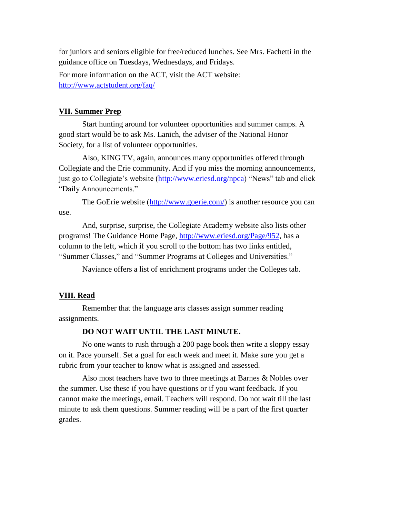for juniors and seniors eligible for free/reduced lunches. See Mrs. Fachetti in the guidance office on Tuesdays, Wednesdays, and Fridays.

For more information on the ACT, visit the ACT website: <http://www.actstudent.org/faq/>

#### **VII. Summer Prep**

Start hunting around for volunteer opportunities and summer camps. A good start would be to ask Ms. Lanich, the adviser of the National Honor Society, for a list of volunteer opportunities.

Also, KING TV, again, announces many opportunities offered through Collegiate and the Erie community. And if you miss the morning announcements, just go to Collegiate's website [\(http://www.eriesd.org/npca\)](http://www.eriesd.org/npca) "News" tab and click "Daily Announcements."

The GoErie website [\(http://www.goerie.com/\)](http://www.goerie.com/) is another resource you can use.

And, surprise, surprise, the Collegiate Academy website also lists other programs! The Guidance Home Page, [http://www.eriesd.org/Page/952,](http://www.eriesd.org/Page/952) has a column to the left, which if you scroll to the bottom has two links entitled, "Summer Classes," and "Summer Programs at Colleges and Universities."

Naviance offers a list of enrichment programs under the Colleges tab.

#### **VIII. Read**

Remember that the language arts classes assign summer reading assignments.

#### **DO NOT WAIT UNTIL THE LAST MINUTE.**

No one wants to rush through a 200 page book then write a sloppy essay on it. Pace yourself. Set a goal for each week and meet it. Make sure you get a rubric from your teacher to know what is assigned and assessed.

Also most teachers have two to three meetings at Barnes & Nobles over the summer. Use these if you have questions or if you want feedback. If you cannot make the meetings, email. Teachers will respond. Do not wait till the last minute to ask them questions. Summer reading will be a part of the first quarter grades.